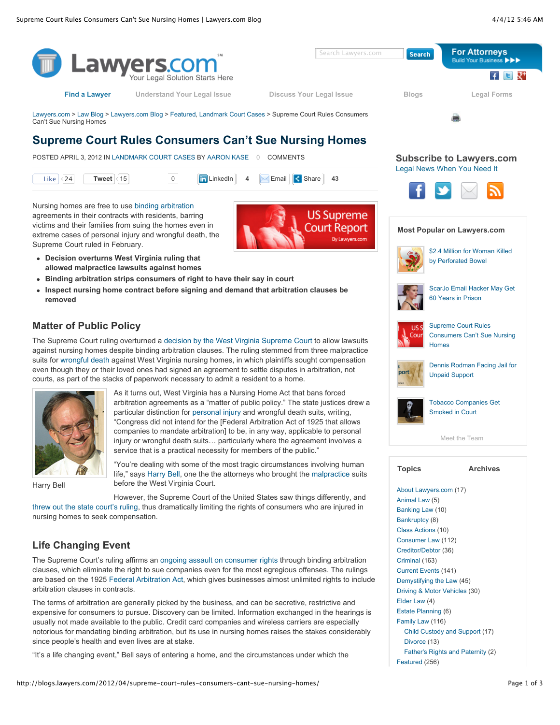

"It's a life changing event," Bell says of entering a home, and the circumstances under which the

[Father's Rights and Paternity](http://blogs.lawyers.com/category/family-law/fathers-rights-and-paternity/) (2)

[Featured](http://blogs.lawyers.com/category/featured/) (256)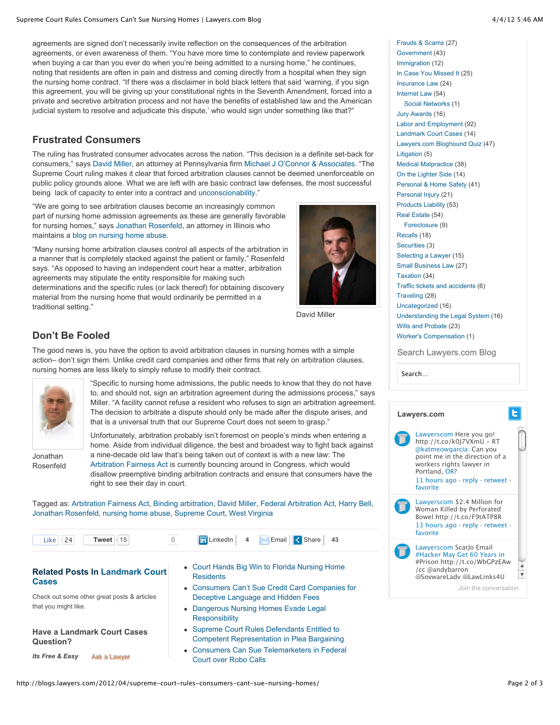agreements are signed don't necessarily invite reflection on the consequences of the arbitration agreements, or even awareness of them. "You have more time to contemplate and review paperwork when buying a car than you ever do when you're being admitted to a nursing home," he continues, noting that residents are often in pain and distress and coming directly from a hospital when they sign the nursing home contract. "If there was a disclaimer in bold black letters that said 'warning, if you sign this agreement, you will be giving up your constitutional rights in the Seventh Amendment, forced into a private and secretive arbitration process and not have the benefits of established law and the American judicial system to resolve and adjudicate this dispute,' who would sign under something like that?"

## **Frustrated Consumers**

The ruling has frustrated consumer advocates across the nation. "This decision is a definite set-back for consumers," says [David Miller](http://www.lawyers.com/Pennsylvania/Frackville/David-A-Miller-2717728-a.html), an attorney at Pennsylvania firm [Michael J O'Connor & Associates.](http://www.lawyers.com/Pennsylvania/Frackville/Michael-J-O-Connor-and-Associates-LLC-1518995-f.html) "The Supreme Court ruling makes it clear that forced arbitration clauses cannot be deemed unenforceable on public policy grounds alone. What we are left with are basic contract law defenses, the most successful being lack of capacity to enter into a contract and [unconscionability](http://research.lawyers.com/glossary/unconscionability.html)."

"We are going to see arbitration clauses become an increasingly common part of nursing home admission agreements as these are generally favorable for nursing homes," says [Jonathan Rosenfeld,](http://www.lawyers.com/Illinois/Chicago/Jonathan-A-Rosenfeld-2408129-a.html) an attorney in Illinois who maintains a [blog on nursing home abuse.](http://www.nursinghomesabuseblog.com/)

"Many nursing home arbitration clauses control all aspects of the arbitration in a manner that is completely stacked against the patient or family," Rosenfeld says. "As opposed to having an independent court hear a matter, arbitration agreements may stipulate the entity responsible for making such determinations and the specific rules (or lack thereof) for obtaining discovery material from the nursing home that would ordinarily be permitted in a traditional setting."



David Miller

## **Don't Be Fooled**

The good news is, you have the option to avoid arbitration clauses in nursing homes with a simple action– don't sign them. Unlike credit card companies and other firms that rely on arbitration clauses, nursing homes are less likely to simply refuse to modify their contract.



Jonathan Rosenfeld

"Specific to nursing home admissions, the public needs to know that they do not have to, and should not, sign an arbitration agreement during the admissions process," says Miller. "A facility cannot refuse a resident who refuses to sign an arbitration agreement. The decision to arbitrate a dispute should only be made after the dispute arises, and that is a universal truth that our Supreme Court does not seem to grasp."

Unfortunately, arbitration probably isn't foremost on people's minds when entering a home. Aside from individual diligence, the best and broadest way to fight back against a nine-decade old law that's being taken out of context is with a new law: The [Arbitration Fairness Act](http://www.fairarbitrationnow.org/content/arbitration-fairness-act-2011-introduced) is currently bouncing around in Congress, which would disallow preemptive binding arbitration contracts and ensure that consumers have the right to see their day in court.

Tagged as: [Arbitration Fairness Act](http://blogs.lawyers.com/tag/arbitration-fairness-act/), [Binding arbitration,](http://blogs.lawyers.com/tag/binding-arbitration/) [David Miller](http://blogs.lawyers.com/tag/david-miller/), [Federal Arbitration Act,](http://blogs.lawyers.com/tag/federal-arbitration-act/) [Harry Bell,](http://blogs.lawyers.com/tag/harry-bell/) [Jonathan Rosenfeld,](http://blogs.lawyers.com/tag/jonathan-rosenfeld/) [nursing home abuse,](http://blogs.lawyers.com/tag/nursing-home-abuse/) [Supreme Court](http://blogs.lawyers.com/tag/supreme-court/), [West Virginia](http://blogs.lawyers.com/tag/west-virginia/)

| 4 Email Share 43<br><b>in</b> LinkedIn<br>Tweet $ 35 $<br>Like $ \langle 24 $ |  |  |
|-------------------------------------------------------------------------------|--|--|
|-------------------------------------------------------------------------------|--|--|

**[Related Posts In Landmark Court](http://blogs.lawyers.com/category/landmark-court-cases/) Cases** Check out some other great posts & articles that you might like.

**Have a Landmark Court Cases Question?**

*Its Free & Easy* [Ask a Lawyer](http://www.lawyers.com/ask_a_lawyer/ask_a_question/index.php)

- [Court Hands Big Win to Florida Nursing Home](http://blogs.lawyers.com/2011/12/court-hands-big-win-to-florida-nursing-home-residents/) **Residents**
- [Consumers Can't Sue Credit Card Companies for](http://blogs.lawyers.com/2012/01/consumers-cant-sue-credit-card-companies/) Deceptive Language and Hidden Fees
- [Dangerous Nursing Homes Evade Legal](http://blogs.lawyers.com/2012/02/dangerous-nursing-homes-evade-legal-responsibility/) **Responsibility**
- Supreme Court Rules Defendants Entitled to [Competent Representation in Plea Bargaining](http://blogs.lawyers.com/2012/03/supreme-court-rules-defendants-entitled-to-competent-representation-in-plea-bargaining/)
- [Consumers Can Sue Telemarketers in Federal](http://blogs.lawyers.com/2012/01/supreme-court-consumers-can-sue-telemarketers-in-federal-court/) Court over Robo Calls

[Frauds & Scams](http://blogs.lawyers.com/category/frauds-scams/) (27) [Government](http://blogs.lawyers.com/category/government/) (43) [Immigration](http://blogs.lawyers.com/category/immigration/) (12) [In Case You Missed It](http://blogs.lawyers.com/category/in-case-you-missed-it/) (25) [Insurance Law](http://blogs.lawyers.com/category/insurance-law/) (24) [Internet Law](http://blogs.lawyers.com/category/internet-law/) (54) [Social Networks](http://blogs.lawyers.com/category/internet-law/social-networks/) (1) [Jury Awards](http://blogs.lawyers.com/category/jury-awards/) (16) [Labor and Employment](http://blogs.lawyers.com/category/labor-and-employment/) (92) [Landmark Court Cases](http://blogs.lawyers.com/category/landmark-court-cases/) (14) [Lawyers.com Bloghound Quiz](http://blogs.lawyers.com/category/lawyers-com-bloghound-quiz/) (47) [Litigation](http://blogs.lawyers.com/category/litigation/) (5) [Medical Malpractice](http://blogs.lawyers.com/category/medical-malpractice/) (38) [On the Lighter Side](http://blogs.lawyers.com/category/on-the-lighter-side/) (14) [Personal & Home Safety](http://blogs.lawyers.com/category/personal-home-safety/) (41) [Personal Injury](http://blogs.lawyers.com/category/personal-injury-2/) (21) [Products Liability](http://blogs.lawyers.com/category/products-liability/) (53) [Real Estate](http://blogs.lawyers.com/category/real-estate/) (54) [Foreclosure](http://blogs.lawyers.com/category/real-estate/foreclosure-real-estate/) (9) [Recalls](http://blogs.lawyers.com/category/recalls/) (18) [Securities](http://blogs.lawyers.com/category/securities/) (3) [Selecting a Lawyer](http://blogs.lawyers.com/category/selecting-a-lawyer/) (15) [Small Business Law](http://blogs.lawyers.com/category/small-business-law/) (27) [Taxation](http://blogs.lawyers.com/category/taxation/) (34) [Traffic tickets and accidents](http://blogs.lawyers.com/category/traffic-tickets-and-accidents/) (6) [Traveling](http://blogs.lawyers.com/category/traveling/) (28) [Uncategorized](http://blogs.lawyers.com/category/uncategorized/) (16) [Understanding the Legal System](http://blogs.lawyers.com/category/understanding-the-legal-system/) (16) [Wills and Probate](http://blogs.lawyers.com/category/wills-and-probate/) (23) [Worker's Compensation](http://blogs.lawyers.com/category/workers-compensation-2/) (1)

Search Lawyers.com Blog

| searcn |  |
|--------|--|
|        |  |